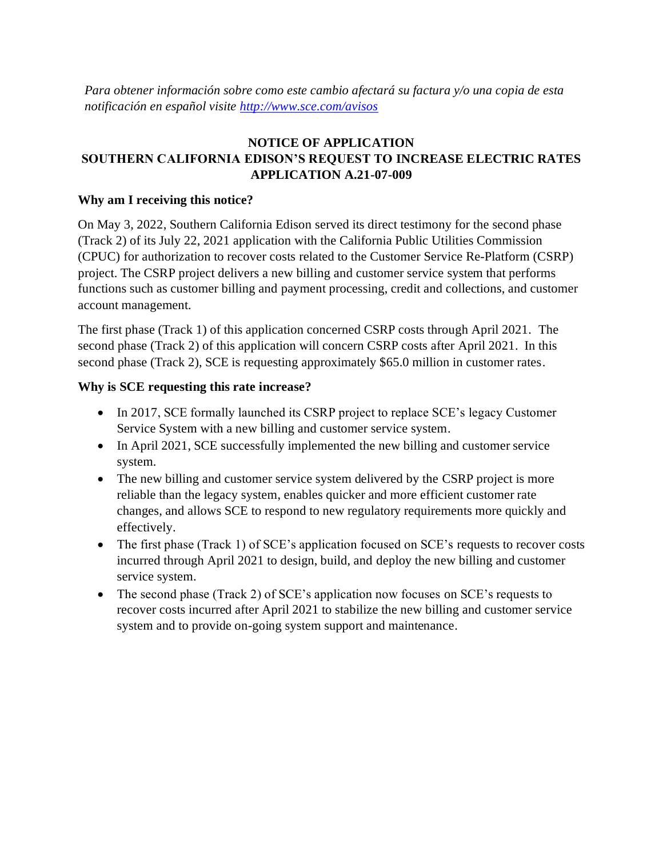*Para obtener información sobre como este cambio afectará su factura y/o una copia de esta notificación en español visite<http://www.sce.com/avisos>*

# **NOTICE OF APPLICATION SOUTHERN CALIFORNIA EDISON'S REQUEST TO INCREASE ELECTRIC RATES APPLICATION A.21-07-009**

## **Why am I receiving this notice?**

On May 3, 2022, Southern California Edison served its direct testimony for the second phase (Track 2) of its July 22, 2021 application with the California Public Utilities Commission (CPUC) for authorization to recover costs related to the Customer Service Re-Platform (CSRP) project. The CSRP project delivers a new billing and customer service system that performs functions such as customer billing and payment processing, credit and collections, and customer account management.

The first phase (Track 1) of this application concerned CSRP costs through April 2021. The second phase (Track 2) of this application will concern CSRP costs after April 2021. In this second phase (Track 2), SCE is requesting approximately \$65.0 million in customer rates.

## **Why is SCE requesting this rate increase?**

- In 2017, SCE formally launched its CSRP project to replace SCE's legacy Customer Service System with a new billing and customer service system.
- In April 2021, SCE successfully implemented the new billing and customer service system.
- The new billing and customer service system delivered by the CSRP project is more reliable than the legacy system, enables quicker and more efficient customer rate changes, and allows SCE to respond to new regulatory requirements more quickly and effectively.
- The first phase (Track 1) of SCE's application focused on SCE's requests to recover costs incurred through April 2021 to design, build, and deploy the new billing and customer service system.
- The second phase (Track 2) of SCE's application now focuses on SCE's requests to recover costs incurred after April 2021 to stabilize the new billing and customer service system and to provide on-going system support and maintenance.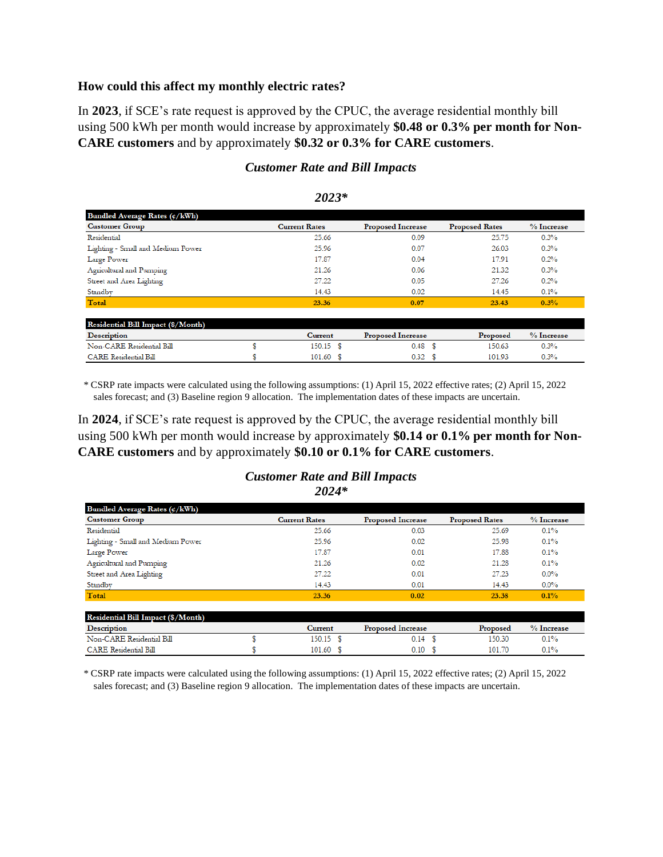#### **How could this affect my monthly electric rates?**

In **2023**, if SCE's rate request is approved by the CPUC, the average residential monthly bill using 500 kWh per month would increase by approximately **\$0.48 or 0.3% per month for Non-CARE customers** and by approximately **\$0.32 or 0.3% for CARE customers**.

| Bundled Average Rates (¢/kWh)      |                      |                          |                       |            |
|------------------------------------|----------------------|--------------------------|-----------------------|------------|
| <b>Customer Group</b>              | <b>Current Rates</b> | <b>Proposed Increase</b> | <b>Proposed Rates</b> | % Increase |
| Residential                        | 25.66                | 0.09                     | 25.75                 | 0.3%       |
| Lighting - Small and Medium Power  | 25.96                | 0.07                     | 26.03                 | 0.3%       |
| Large Power                        | 17.87                | 0.04                     | 17.91                 | 0.2%       |
| Agricultural and Pumping           | 21.26                | 0.06                     | 21.32                 | 0.3%       |
| Street and Area Lighting           | 27.22                | 0.05                     | 27.26                 | 0.2%       |
| Standby                            | 14.43                | 0.02                     | 14.45                 | 0.1%       |
| Total                              | 23.36                | 0.07                     | 23.43                 | 0.3%       |
|                                    |                      |                          |                       |            |
| Residential Bill Impact (\$/Month) |                      |                          |                       |            |
| <b>Description</b>                 | <b>Current</b>       | <b>Proposed Increase</b> | Proposed              | % Increase |
| Non-CARE Residential Bill          | 150.15 \$            | 0.48 <sup>5</sup>        | 150.63                | 0.3%       |
| <b>CARE</b> Residential Bill       | $101.60$ \$          | 0.32                     | 101.93                | 0.3%       |

#### *Customer Rate and Bill Impacts*

|  | ė |
|--|---|
|--|---|

\* CSRP rate impacts were calculated using the following assumptions: (1) April 15, 2022 effective rates; (2) April 15, 2022 sales forecast; and (3) Baseline region 9 allocation. The implementation dates of these impacts are uncertain.

In **2024**, if SCE's rate request is approved by the CPUC, the average residential monthly bill using 500 kWh per month would increase by approximately **\$0.14 or 0.1% per month for Non-CARE customers** and by approximately **\$0.10 or 0.1% for CARE customers**.

#### *Customer Rate and Bill Impacts 2024\**

| Bundled Average Rates $(\phi/kWh)$ |                      |                          |                       |            |
|------------------------------------|----------------------|--------------------------|-----------------------|------------|
| <b>Customer Group</b>              | <b>Current Rates</b> | <b>Proposed Increase</b> | <b>Proposed Rates</b> | % Increase |
| Residential                        | 25.66                | 0.03                     | 25.69                 | 0.1%       |
| Lighting - Small and Medium Power  | 25.96                | 0.02                     | 25.98                 | 0.1%       |
| Large Power                        | 17.87                | 0.01                     | 17.88                 | 0.1%       |
| Agricultural and Pumping           | 21.26                | 0.02                     | 21.28                 | 0.1%       |
| Street and Area Lighting           | 27.22                | 0.01                     | 27.23                 | $0.0\%$    |
| Standby                            | 14.43                | 0.01                     | 14.43                 | $0.0\%$    |
| Total                              | 23.36                | 0.02                     | 23.38                 | 0.1%       |
|                                    |                      |                          |                       |            |
| Residential Bill Impact (\$/Month) |                      |                          |                       |            |
| <b>Description</b>                 | <b>Current</b>       | <b>Proposed Increase</b> | Proposed              | % Increase |
| Non-CARE Residential Bill          | $150.15$ \$          | 0.14S                    | 150.30                | 0.1%       |
| <b>CARE</b> Residential Bill       | $101.60$ \$          | 0.10                     | 101.70                | 0.1%       |

\* CSRP rate impacts were calculated using the following assumptions: (1) April 15, 2022 effective rates; (2) April 15, 2022 sales forecast; and (3) Baseline region 9 allocation. The implementation dates of these impacts are uncertain.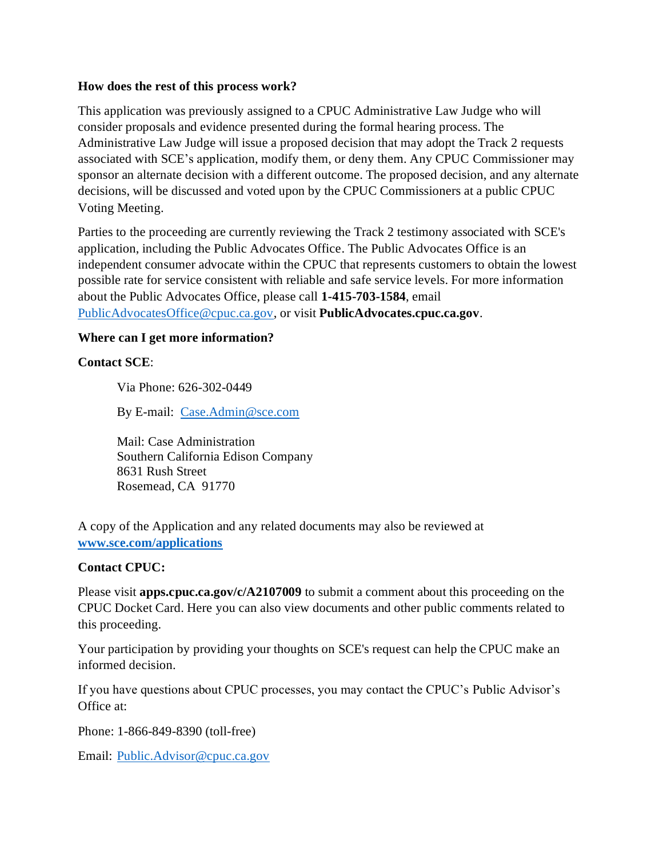### **How does the rest of this process work?**

This application was previously assigned to a CPUC Administrative Law Judge who will consider proposals and evidence presented during the formal hearing process. The Administrative Law Judge will issue a proposed decision that may adopt the Track 2 requests associated with SCE's application, modify them, or deny them. Any CPUC Commissioner may sponsor an alternate decision with a different outcome. The proposed decision, and any alternate decisions, will be discussed and voted upon by the CPUC Commissioners at a public CPUC Voting Meeting.

Parties to the proceeding are currently reviewing the Track 2 testimony associated with SCE's application, including the Public Advocates Office. The Public Advocates Office is an independent consumer advocate within the CPUC that represents customers to obtain the lowest possible rate for service consistent with reliable and safe service levels. For more information about the Public Advocates Office, please call **1-415-703-1584**, email [PublicAdvocatesOffice@cpuc.ca.gov,](mailto:PublicAdvocatesOffice@cpuc.ca.gov) or visit **PublicAdvocates.cpuc.ca.gov**.

## **Where can I get more information?**

## **Contact SCE**:

Via Phone: 626-302-0449

By E-mail: [Case.Admin@sce.com](mailto:Case.Admin@sce.com)

Mail: Case Administration Southern California Edison Company 8631 Rush Street Rosemead, CA 91770

A copy of the Application and any related documents may also be reviewed at **[www.sce.com/applications](http://www.sce.com/applications)**

### **Contact CPUC:**

Please visit **apps.cpuc.ca.gov/c/A2107009** to submit a comment about this proceeding on the CPUC Docket Card. Here you can also view documents and other public comments related to this proceeding.

Your participation by providing your thoughts on SCE's request can help the CPUC make an informed decision.

If you have questions about CPUC processes, you may contact the CPUC's Public Advisor's Office at:

Phone: 1-866-849-8390 (toll-free)

Email: [Public.Advisor@cpuc.ca.gov](mailto:Public.Advisor@cpuc.ca.gov)